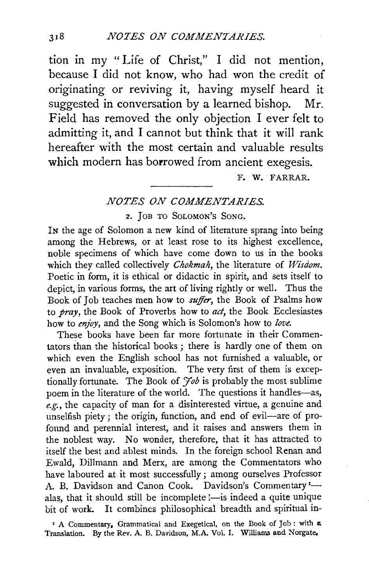tion in my "Life of Christ," I did not mention, because I did not know, who had won the credit of originating or reviving it, having myself heard it suggested in conversation by a learned bishop. Mr. Field has removed the only objection I ever felt to admitting it, and I cannot but think that it will rank hereafter with the most certain and valuable results which modern has borrowed from ancient exegesis.

F. W. FARRAR.

## *NOTES ON COMMENTARIES.*

2. JoB TO SoLoMoN's SoNG.

IN the age of Solomon a new kind of literature sprang into being among the Hebrews, or at least rose to its highest excellence, noble specimens of which have come down to us in the books which they called collectively *Chokmah*, the literature of *Wisdom*. Poetic in form, it is ethical or didactic in spirit, and sets itself to depict, in various forms, the art of living rightly or well. Thus the Book of Job teaches men how to *suffer,* the Book of Psalms how to *pray,* the Book of Proverbs how to *act,* the Book Ecclesiastes how to *enjoy,* and the Song which is Solomon's how to *love.* 

These books have been far more fortunate in their Commentators than the historical books ; there is hardly one of them on which even the English school has not furnished a valuable, or even an invaluable, exposition. The very first of them is exceptionally fortunate. The Book of *Yob* is probably the most sublime poem in the literature of the world. The questions it handles-as, *e.g.,* the capacity of man for a disinterested virtue, a genuine and unselfish piety ; the origin, function, and end of evil-are of profound and perennial interest, and it raises and answers them in the noblest way. No wonder, therefore, that it has attracted to itself the best and ablest minds. In the foreign school Renan and Ewald, Dillmann and Merx, are among the Commentators who have laboured at it most successfully; among ourselves Professor A. B. Davidson and Canon Cook. Davidson's Commentary<sup>1</sup>. alas, that it should still be incomplete !- is indeed a quite unique bit of work. It combines philosophical breadth and spiritual in-

<sup>1</sup> A Commentary, Grammatical and Exegetical, on the Book of Job: with  $\boldsymbol{\epsilon}$ Translation. By the Rev. A. B. Davidson, M.A. Vol. I. Williams and Norgate.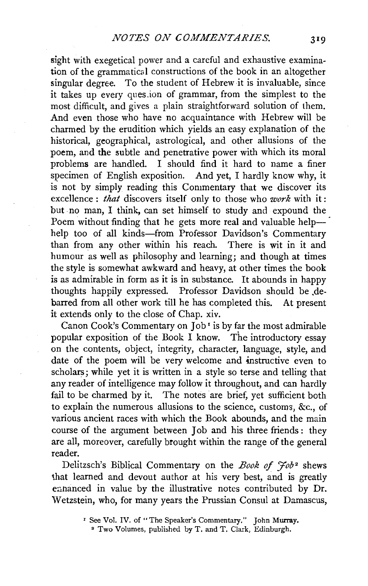sight with exegetical power and a careful and exhaustive examination of the grammatical constructions of the book in an altogether singular degree. To the student of Hebrew it is invaluable, since it takes up every ques-ion of grammar, from the simplest to the most difficult, and gives a plain straightforward solution of them. And even those who have no acquaintance with Hebrew will be charmed by the erudition which yields an easy explanation of the historical, geographical, astrological, and other allusions of the poem, and the subtle and penetrative power with which its moral problems are handled. I should find it hard to name a finer specimen of English exposition. And yet, I hardly know why, it is not by simply reading this Commentary that we discover its excellence : *that* discovers itself only to those who *work* with it : but no man, I think, can set himself to study and expound the Poem without finding that he gets more real and valuable helphelp too of all kinds-from Professor Davidson's Commentary than from any other within his reach. There is wit in it and humour as well as philosophy and learning; and though at times the style is somewhat awkward and heavy, at other times the book is as admirable in form as it is in substance. It abounds in happy thoughts happily expressed. Professor Davidson should be debarred from all other work till he has completed this. At present it extends only to the close of Chap. xiv.

Canon Cook's Commentary on  $\overline{I}$  ob<sup> $I$ </sup> is by far the most admirable popular exposition of the Book I know. The introductory essay on the contents, object, integrity, character, language, style, and date of the poem will be very welcome and instructive even to scholars; while yet it is written in a style so terse and telling that any reader of intelligence may follow it throughout, and can hardly fail to be charmed by it. The notes are brief, yet sufficient both to explain the numerous allusions to the science, customs, &c., of various ancient races with which the Book abounds, and the main course of the argument between Job and his three friends : they are all, moreover, carefully brought within the range of the general reader.

Delitzsch's Biblical Commentary on the *Book of 'Job•* shews that learned and devout author at his very best, and is greatly enhanced in value by the illustrative notes contributed by Dr. W etzstein, who, for many years the Prussian Consul at Damascus,

<sup>&</sup>lt;sup>1</sup> See Vol. IV. of "The Speaker's Commentary." John Murray.

<sup>•</sup> Two Volumes, published by T. and T. Clark, Edinburgh.